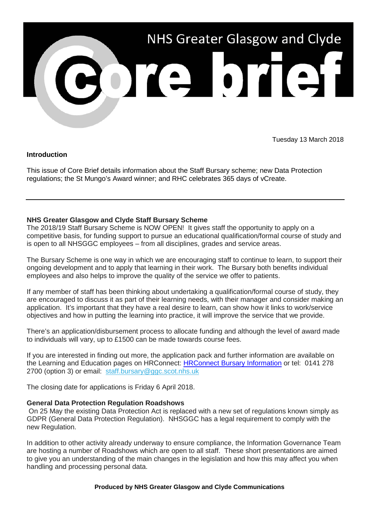

Tuesday 13 March 2018

# **Introduction**

This issue of Core Brief details information about the Staff Bursary scheme; new Data Protection regulations; the St Mungo's Award winner; and RHC celebrates 365 days of vCreate.

# **NHS Greater Glasgow and Clyde Staff Bursary Scheme**

The 2018/19 Staff Bursary Scheme is NOW OPEN! It gives staff the opportunity to apply on a competitive basis, for funding support to pursue an educational qualification/formal course of study and is open to all NHSGGC employees – from all disciplines, grades and service areas.

The Bursary Scheme is one way in which we are encouraging staff to continue to learn, to support their ongoing development and to apply that learning in their work. The Bursary both benefits individual employees and also helps to improve the quality of the service we offer to patients.

If any member of staff has been thinking about undertaking a qualification/formal course of study, they are encouraged to discuss it as part of their learning needs, with their manager and consider making an application. It's important that they have a real desire to learn, can show how it links to work/service objectives and how in putting the learning into practice, it will improve the service that we provide.

There's an application/disbursement process to allocate funding and although the level of award made to individuals will vary, up to £1500 can be made towards course fees.

If you are interested in finding out more, the application pack and further information are available on the Learning and Education pages on HRConnect: [HRConnect Bursary Information](http://www.nhsggc.org.uk/working-with-us/hr-connect/learning-education-and-training/staff-bursary-scheme/application-pack/?utm_source=Core_Brief&utm_medium=email&utm_campaign=CB_Staff_Bursary) or tel: 0141 278 2700 (option 3) or email: [staff.bursary@ggc.scot.nhs.uk](mailto:staff.bursary@ggc.scot.nhs.uk)

The closing date for applications is Friday 6 April 2018.

## **General Data Protection Regulation Roadshows**

On 25 May the existing Data Protection Act is replaced with a new set of regulations known simply as GDPR (General Data Protection Regulation). NHSGGC has a legal requirement to comply with the new Regulation.

In addition to other activity already underway to ensure compliance, the Information Governance Team are hosting a number of Roadshows which are open to all staff. These short presentations are aimed to give you an understanding of the main changes in the legislation and how this may affect you when handling and processing personal data.

#### **Produced by NHS Greater Glasgow and Clyde Communications**